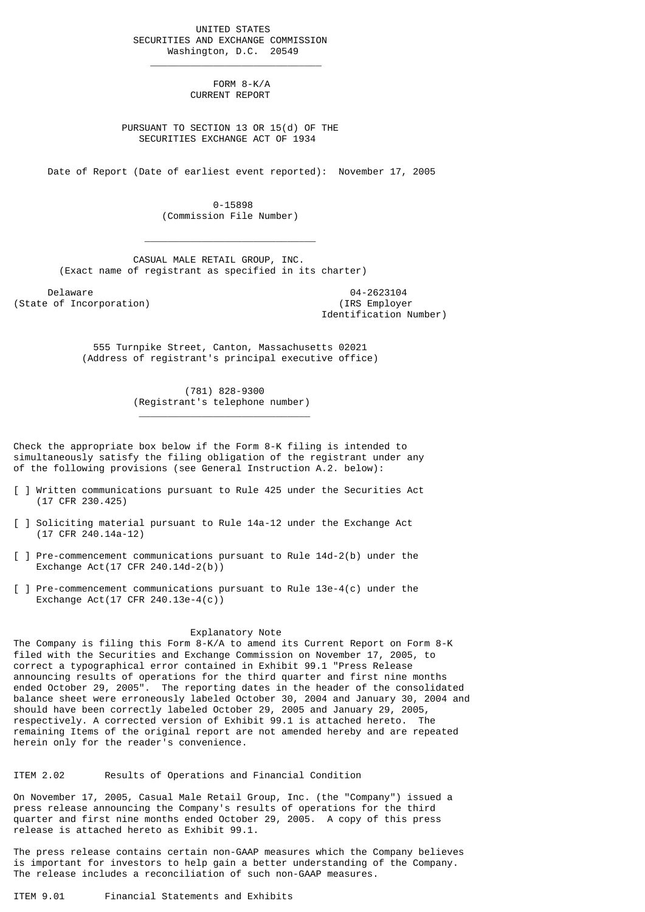UNITED STATES SECURITIES AND EXCHANGE COMMISSION Washington, D.C. 20549

 $\frac{1}{2}$  , and the set of the set of the set of the set of the set of the set of the set of the set of the set of the set of the set of the set of the set of the set of the set of the set of the set of the set of the set

 $\mathcal{L}_\text{max}$  and  $\mathcal{L}_\text{max}$  and  $\mathcal{L}_\text{max}$  and  $\mathcal{L}_\text{max}$  and  $\mathcal{L}_\text{max}$ 

\_\_\_\_\_\_\_\_\_\_\_\_\_\_\_\_\_\_\_\_\_\_\_\_\_\_\_\_\_\_

 FORM 8-K/A CURRENT REPORT

 PURSUANT TO SECTION 13 OR 15(d) OF THE SECURITIES EXCHANGE ACT OF 1934

Date of Report (Date of earliest event reported): November 17, 2005

 0-15898 (Commission File Number)

 CASUAL MALE RETAIL GROUP, INC. (Exact name of registrant as specified in its charter)

Delaware 04-2623104<br>
Delaware 04-2623104<br>
Of Incorporation (State of Incorporation)

Identification Number)

 555 Turnpike Street, Canton, Massachusetts 02021 (Address of registrant's principal executive office)

> (781) 828-9300 (Registrant's telephone number)

Check the appropriate box below if the Form 8-K filing is intended to simultaneously satisfy the filing obligation of the registrant under any of the following provisions (see General Instruction A.2. below):

- [ ] Written communications pursuant to Rule 425 under the Securities Act (17 CFR 230.425)
- [ ] Soliciting material pursuant to Rule 14a-12 under the Exchange Act (17 CFR 240.14a-12)
- [ ] Pre-commencement communications pursuant to Rule 14d-2(b) under the Exchange Act(17 CFR 240.14d-2(b))
- [ ] Pre-commencement communications pursuant to Rule 13e-4(c) under the Exchange Act(17 CFR 240.13e-4(c))

## Explanatory Note

The Company is filing this Form 8-K/A to amend its Current Report on Form 8-K filed with the Securities and Exchange Commission on November 17, 2005, to correct a typographical error contained in Exhibit 99.1 "Press Release announcing results of operations for the third quarter and first nine months ended October 29, 2005". The reporting dates in the header of the consolidated balance sheet were erroneously labeled October 30, 2004 and January 30, 2004 and should have been correctly labeled October 29, 2005 and January 29, 2005, respectively. A corrected version of Exhibit 99.1 is attached hereto. The remaining Items of the original report are not amended hereby and are repeated herein only for the reader's convenience.

ITEM 2.02 Results of Operations and Financial Condition

On November 17, 2005, Casual Male Retail Group, Inc. (the "Company") issued a press release announcing the Company's results of operations for the third quarter and first nine months ended October 29, 2005. A copy of this press release is attached hereto as Exhibit 99.1.

The press release contains certain non-GAAP measures which the Company believes is important for investors to help gain a better understanding of the Company. The release includes a reconciliation of such non-GAAP measures.

ITEM 9.01 Financial Statements and Exhibits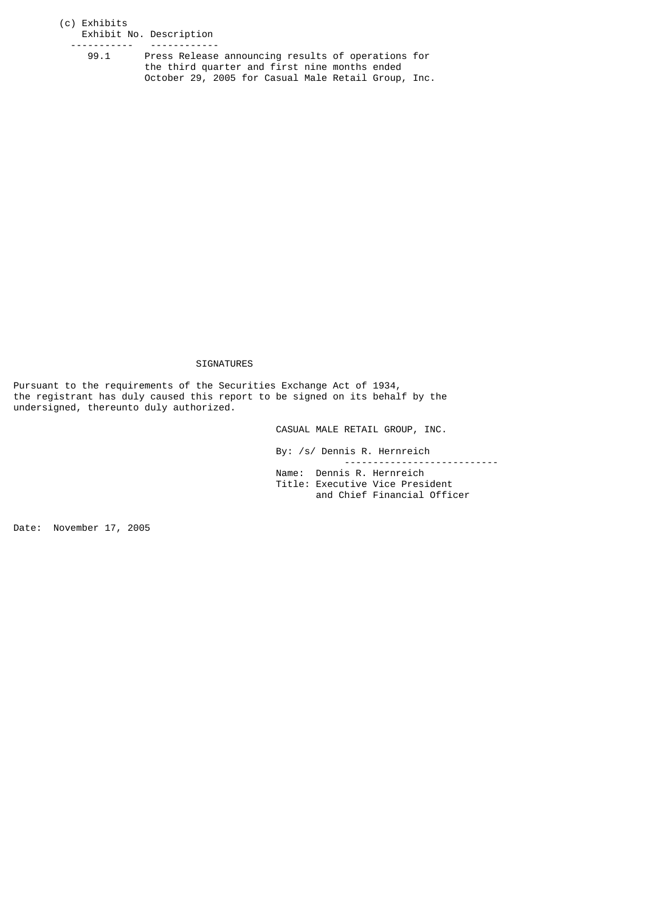## (c) Exhibits Exhibit No. Description

------------<br>99.1 Press Release announcing results of operations for

 the third quarter and first nine months ended October 29, 2005 for Casual Male Retail Group, Inc.

## SIGNATURES

Pursuant to the requirements of the Securities Exchange Act of 1934, the registrant has duly caused this report to be signed on its behalf by the undersigned, thereunto duly authorized.

CASUAL MALE RETAIL GROUP, INC.

 By: /s/ Dennis R. Hernreich --------------------------- Name: Dennis R. Hernreich Title: Executive Vice President and Chief Financial Officer

Date: November 17, 2005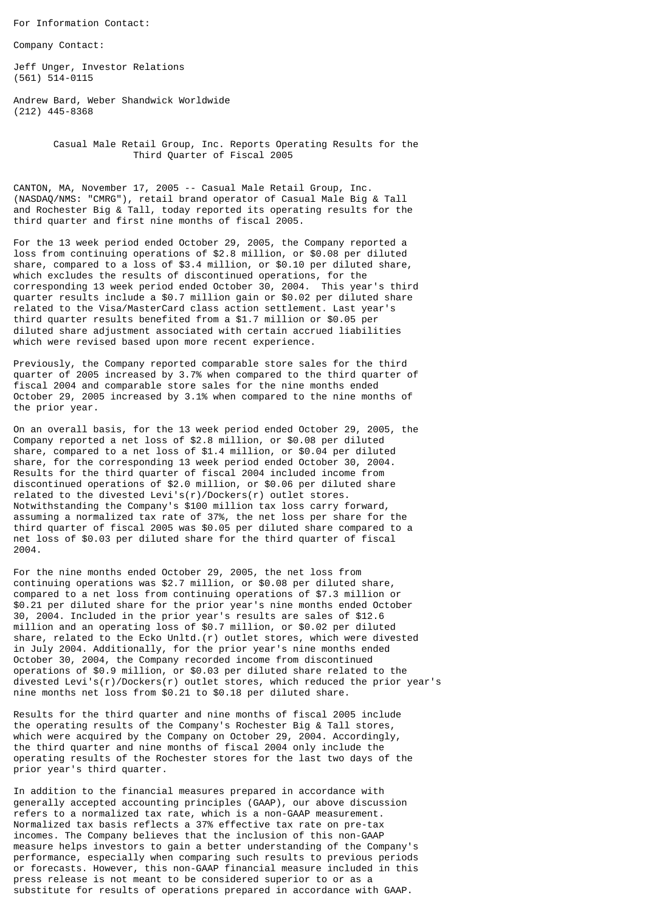For Information Contact:

Company Contact:

Jeff Unger, Investor Relations (561) 514-0115

Andrew Bard, Weber Shandwick Worldwide (212) 445-8368

> Casual Male Retail Group, Inc. Reports Operating Results for the Third Quarter of Fiscal 2005

CANTON, MA, November 17, 2005 -- Casual Male Retail Group, Inc. (NASDAQ/NMS: "CMRG"), retail brand operator of Casual Male Big & Tall and Rochester Big & Tall, today reported its operating results for the third quarter and first nine months of fiscal 2005.

For the 13 week period ended October 29, 2005, the Company reported a loss from continuing operations of \$2.8 million, or \$0.08 per diluted share, compared to a loss of \$3.4 million, or \$0.10 per diluted share, which excludes the results of discontinued operations, for the corresponding 13 week period ended October 30, 2004. This year's third quarter results include a \$0.7 million gain or \$0.02 per diluted share related to the Visa/MasterCard class action settlement. Last year's third quarter results benefited from a \$1.7 million or \$0.05 per diluted share adjustment associated with certain accrued liabilities which were revised based upon more recent experience.

Previously, the Company reported comparable store sales for the third quarter of 2005 increased by 3.7% when compared to the third quarter of fiscal 2004 and comparable store sales for the nine months ended October 29, 2005 increased by 3.1% when compared to the nine months of the prior year.

On an overall basis, for the 13 week period ended October 29, 2005, the Company reported a net loss of \$2.8 million, or \$0.08 per diluted share, compared to a net loss of \$1.4 million, or \$0.04 per diluted share, for the corresponding 13 week period ended October 30, 2004. Results for the third quarter of fiscal 2004 included income from discontinued operations of \$2.0 million, or \$0.06 per diluted share related to the divested Levi's(r)/Dockers(r) outlet stores. Notwithstanding the Company's \$100 million tax loss carry forward, assuming a normalized tax rate of 37%, the net loss per share for the third quarter of fiscal 2005 was \$0.05 per diluted share compared to a net loss of \$0.03 per diluted share for the third quarter of fiscal 2004.

For the nine months ended October 29, 2005, the net loss from continuing operations was \$2.7 million, or \$0.08 per diluted share, compared to a net loss from continuing operations of \$7.3 million or \$0.21 per diluted share for the prior year's nine months ended October 30, 2004. Included in the prior year's results are sales of \$12.6 million and an operating loss of \$0.7 million, or \$0.02 per diluted share, related to the Ecko Unltd.(r) outlet stores, which were divested in July 2004. Additionally, for the prior year's nine months ended October 30, 2004, the Company recorded income from discontinued operations of \$0.9 million, or \$0.03 per diluted share related to the divested Levi's(r)/Dockers(r) outlet stores, which reduced the prior year's nine months net loss from \$0.21 to \$0.18 per diluted share.

Results for the third quarter and nine months of fiscal 2005 include the operating results of the Company's Rochester Big & Tall stores, which were acquired by the Company on October 29, 2004. Accordingly, the third quarter and nine months of fiscal 2004 only include the operating results of the Rochester stores for the last two days of the prior year's third quarter.

In addition to the financial measures prepared in accordance with generally accepted accounting principles (GAAP), our above discussion refers to a normalized tax rate, which is a non-GAAP measurement. Normalized tax basis reflects a 37% effective tax rate on pre-tax incomes. The Company believes that the inclusion of this non-GAAP measure helps investors to gain a better understanding of the Company's performance, especially when comparing such results to previous periods or forecasts. However, this non-GAAP financial measure included in this press release is not meant to be considered superior to or as a substitute for results of operations prepared in accordance with GAAP.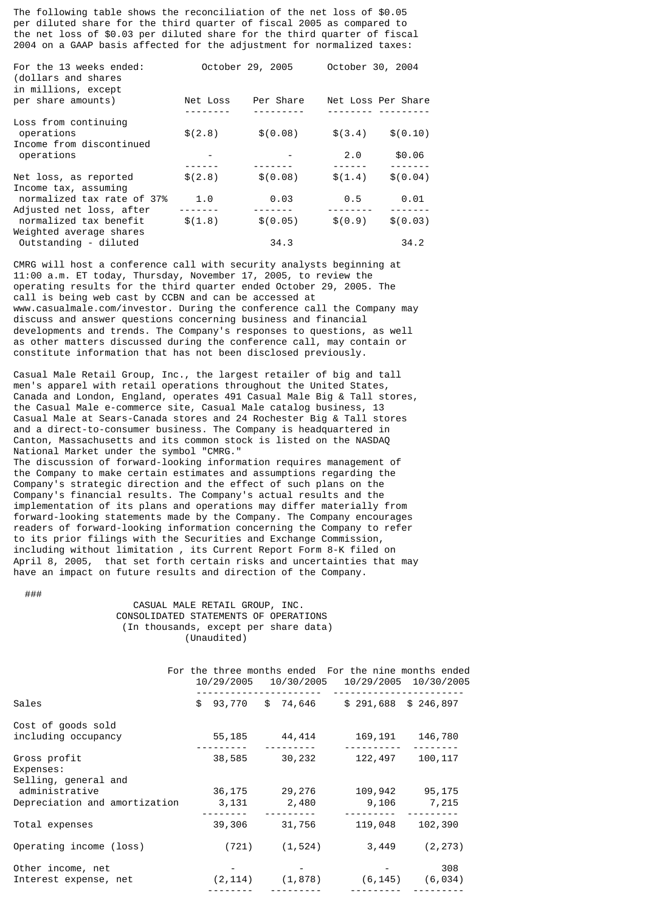The following table shows the reconciliation of the net loss of \$0.05 per diluted share for the third quarter of fiscal 2005 as compared to the net loss of \$0.03 per diluted share for the third quarter of fiscal 2004 on a GAAP basis affected for the adjustment for normalized taxes:

| For the 13 weeks ended:<br>(dollars and shares<br>in millions, except |          | October 29, 2005 | October 30, 2004   |                      |
|-----------------------------------------------------------------------|----------|------------------|--------------------|----------------------|
| per share amounts)                                                    | Net Loss | Per Share        | Net Loss Per Share |                      |
|                                                                       |          |                  |                    |                      |
| Loss from continuing<br>operations                                    | \$(2.8)  | \$(0.08)         | \$(3.4)            | \$(0.10)             |
| Income from discontinued<br>operations                                |          |                  | 2.0                | \$0.06               |
|                                                                       |          | \$ (0.08)        |                    | -------<br>\$ (0.04) |
| Net loss, as reported<br>Income tax, assuming                         | \$(2.8)  |                  | \$(1.4)            |                      |
| normalized tax rate of 37%                                            | 1.0      | 0.03             | 0.5                | 0.01                 |
| Adjusted net loss, after                                              |          |                  |                    |                      |
| normalized tax benefit                                                | \$(1.8)  | \$ (0.05)        | \$(0.9)            | \$ (0.03)            |
| Weighted average shares                                               |          |                  |                    |                      |
| Outstanding - diluted                                                 |          | 34.3             |                    | 34.2                 |

CMRG will host a conference call with security analysts beginning at 11:00 a.m. ET today, Thursday, November 17, 2005, to review the operating results for the third quarter ended October 29, 2005. The call is being web cast by CCBN and can be accessed at www.casualmale.com/investor. During the conference call the Company may discuss and answer questions concerning business and financial developments and trends. The Company's responses to questions, as well as other matters discussed during the conference call, may contain or constitute information that has not been disclosed previously.

Casual Male Retail Group, Inc., the largest retailer of big and tall men's apparel with retail operations throughout the United States, Canada and London, England, operates 491 Casual Male Big & Tall stores, the Casual Male e-commerce site, Casual Male catalog business, 13 Casual Male at Sears-Canada stores and 24 Rochester Big & Tall stores and a direct-to-consumer business. The Company is headquartered in Canton, Massachusetts and its common stock is listed on the NASDAQ National Market under the symbol "CMRG."

The discussion of forward-looking information requires management of the Company to make certain estimates and assumptions regarding the Company's strategic direction and the effect of such plans on the Company's financial results. The Company's actual results and the implementation of its plans and operations may differ materially from forward-looking statements made by the Company. The Company encourages readers of forward-looking information concerning the Company to refer to its prior filings with the Securities and Exchange Commission, including without limitation , its Current Report Form 8-K filed on April 8, 2005, that set forth certain risks and uncertainties that may have an impact on future results and direction of the Company.

###

 CASUAL MALE RETAIL GROUP, INC. CONSOLIDATED STATEMENTS OF OPERATIONS (In thousands, except per share data) (Unaudited)

|                                                   | 10/29/2005      | 10/30/2005      |                  | For the three months ended For the nine months ended<br>10/29/2005 10/30/2005 |
|---------------------------------------------------|-----------------|-----------------|------------------|-------------------------------------------------------------------------------|
| Sales                                             | \$<br>93,770    | \$ 74,646       |                  | $$291,688$ \$ 246,897                                                         |
| Cost of goods sold<br>including occupancy         | 55,185          | 44,414          | 169,191          | 146,780                                                                       |
| Gross profit<br>Expenses:<br>Selling, general and | 38,585          | 30,232          | 122,497          | 100, 117                                                                      |
| administrative<br>Depreciation and amortization   | 36,175<br>3,131 | 29,276<br>2,480 | 109,942<br>9,106 | 95,175<br>7,215                                                               |
| Total expenses                                    | 39,306          | 31,756          | 119,048          | 102,390                                                                       |
| Operating income (loss)                           | (721)           | (1, 524)        | 3,449            | (2, 273)                                                                      |
| Other income, net<br>Interest expense, net        | (2, 114)        | (1, 878)        | (6, 145)         | 308<br>(6, 034)                                                               |